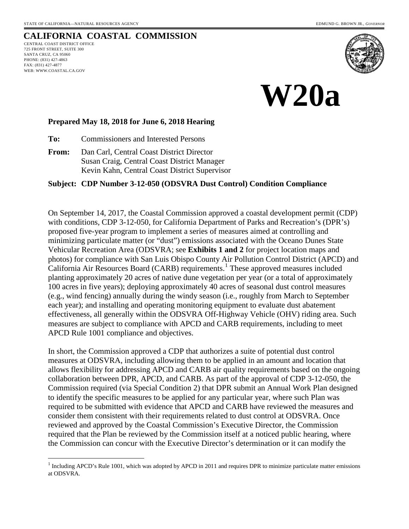# **CALIFORNIA COASTAL COMMISSION**

CENTRAL COAST DISTRICT OFFICE 725 FRONT STREET, SUITE 300 SANTA CRUZ, CA 95060 PHONE: (831) 427-4863 FAX: (831) 427-4877 WEB: WWW.COASTAL.CA.GOV

 $\overline{a}$ 





#### **Prepared May 18, 2018 for June 6, 2018 Hearing**

**To:** Commissioners and Interested Persons

**From:** Dan Carl, Central Coast District Director Susan Craig, Central Coast District Manager Kevin Kahn, Central Coast District Supervisor

### **Subject: CDP Number 3-12-050 (ODSVRA Dust Control) Condition Compliance**

On September 14, 2017, the Coastal Commission approved a coastal development permit (CDP) with conditions, CDP 3-12-050, for California Department of Parks and Recreation's (DPR's) proposed five-year program to implement a series of measures aimed at controlling and minimizing particulate matter (or "dust") emissions associated with the Oceano Dunes State Vehicular Recreation Area (ODSVRA; see **Exhibits 1 and 2** for project location maps and photos) for compliance with San Luis Obispo County Air Pollution Control District (APCD) and California Air Resources Board (CARB) requirements. [1](#page-0-0) These approved measures included planting approximately 20 acres of native dune vegetation per year (or a total of approximately 100 acres in five years); deploying approximately 40 acres of seasonal dust control measures (e.g., wind fencing) annually during the windy season (i.e., roughly from March to September each year); and installing and operating monitoring equipment to evaluate dust abatement effectiveness, all generally within the ODSVRA Off-Highway Vehicle (OHV) riding area. Such measures are subject to compliance with APCD and CARB requirements, including to meet APCD Rule 1001 compliance and objectives.

In short, the Commission approved a CDP that authorizes a suite of potential dust control measures at ODSVRA, including allowing them to be applied in an amount and location that allows flexibility for addressing APCD and CARB air quality requirements based on the ongoing collaboration between DPR, APCD, and CARB. As part of the approval of CDP 3-12-050, the Commission required (via Special Condition 2) that DPR submit an Annual Work Plan designed to identify the specific measures to be applied for any particular year, where such Plan was required to be submitted with evidence that APCD and CARB have reviewed the measures and consider them consistent with their requirements related to dust control at ODSVRA. Once reviewed and approved by the Coastal Commission's Executive Director, the Commission required that the Plan be reviewed by the Commission itself at a noticed public hearing, where the Commission can concur with the Executive Director's determination or it can modify the

<span id="page-0-0"></span> $<sup>1</sup>$  Including APCD's Rule 1001, which was adopted by APCD in 2011 and requires DPR to minimize particulate matter emissions</sup> at ODSVRA.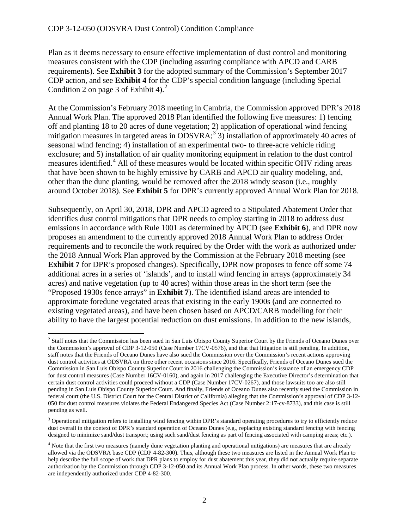$\overline{a}$ 

Plan as it deems necessary to ensure effective implementation of dust control and monitoring measures consistent with the CDP (including assuring compliance with APCD and CARB requirements). See **Exhibit 3** for the adopted summary of the Commission's September 2017 CDP action, and see **Exhibit 4** for the CDP's special condition language (including Special Condition [2](#page-1-0) on page 3 of Exhibit 4).<sup>2</sup>

At the Commission's February 2018 meeting in Cambria, the Commission approved DPR's 2018 Annual Work Plan. The approved 2018 Plan identified the following five measures: 1) fencing off and planting 18 to 20 acres of dune vegetation; 2) application of operational wind fencing mitigation measures in targeted areas in  $ODSVRA$ ;<sup>[3](#page-1-1)</sup> 3) installation of approximately 40 acres of seasonal wind fencing; 4) installation of an experimental two- to three-acre vehicle riding exclosure; and 5) installation of air quality monitoring equipment in relation to the dust control measures identified. [4](#page-1-2) All of these measures would be located within specific OHV riding areas that have been shown to be highly emissive by CARB and APCD air quality modeling, and, other than the dune planting, would be removed after the 2018 windy season (i.e., roughly around October 2018). See **Exhibit 5** for DPR's currently approved Annual Work Plan for 2018.

Subsequently, on April 30, 2018, DPR and APCD agreed to a Stipulated Abatement Order that identifies dust control mitigations that DPR needs to employ starting in 2018 to address dust emissions in accordance with Rule 1001 as determined by APCD (see **Exhibit 6**), and DPR now proposes an amendment to the currently approved 2018 Annual Work Plan to address Order requirements and to reconcile the work required by the Order with the work as authorized under the 2018 Annual Work Plan approved by the Commission at the February 2018 meeting (see **Exhibit 7** for DPR's proposed changes). Specifically, DPR now proposes to fence off some 74 additional acres in a series of 'islands', and to install wind fencing in arrays (approximately 34 acres) and native vegetation (up to 40 acres) within those areas in the short term (see the "Proposed 1930s fence arrays" in **Exhibit 7**). The identified island areas are intended to approximate foredune vegetated areas that existing in the early 1900s (and are connected to existing vegetated areas), and have been chosen based on APCD/CARB modelling for their ability to have the largest potential reduction on dust emissions. In addition to the new islands,

<span id="page-1-0"></span><sup>&</sup>lt;sup>2</sup> Staff notes that the Commission has been sued in San Luis Obispo County Superior Court by the Friends of Oceano Dunes over the Commission's approval of CDP 3-12-050 (Case Number 17CV-0576), and that that litigation is still pending. In addition, staff notes that the Friends of Oceano Dunes have also sued the Commission over the Commission's recent actions approving dust control activities at ODSVRA on three other recent occasions since 2016. Specifically, Friends of Oceano Dunes sued the Commission in San Luis Obispo County Superior Court in 2016 challenging the Commission's issuance of an emergency CDP for dust control measures (Case Number 16CV-0160), and again in 2017 challenging the Executive Director's determination that certain dust control activities could proceed without a CDP (Case Number 17CV-0267), and those lawsuits too are also still pending in San Luis Obispo County Superior Court. And finally, Friends of Oceano Dunes also recently sued the Commission in federal court (the U.S. District Court for the Central District of California) alleging that the Commission's approval of CDP 3-12- 050 for dust control measures violates the Federal Endangered Species Act (Case Number 2:17-cv-8733), and this case is still pending as well.

<span id="page-1-1"></span><sup>&</sup>lt;sup>3</sup> Operational mitigation refers to installing wind fencing within DPR's standard operating procedures to try to efficiently reduce dust overall in the context of DPR's standard operation of Oceano Dunes (e.g., replacing existing standard fencing with fencing designed to minimize sand/dust transport; using such sand/dust fencing as part of fencing associated with camping areas; etc.).

<span id="page-1-2"></span><sup>&</sup>lt;sup>4</sup> Note that the first two measures (namely dune vegetation planting and operational mitigations) are measures that are already allowed via the ODSVRA base CDP (CDP 4-82-300). Thus, although these two measures are listed in the Annual Work Plan to help describe the full scope of work that DPR plans to employ for dust abatement this year, they did not actually require separate authorization by the Commission through CDP 3-12-050 and its Annual Work Plan process. In other words, these two measures are independently authorized under CDP 4-82-300.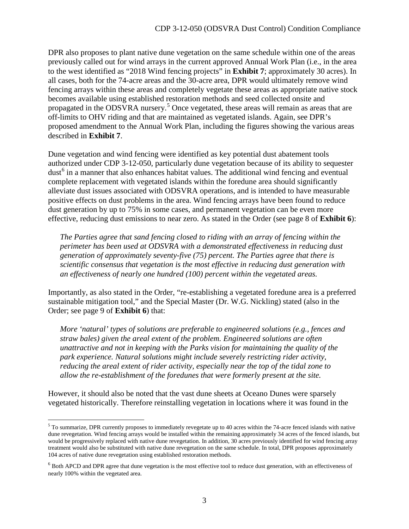DPR also proposes to plant native dune vegetation on the same schedule within one of the areas previously called out for wind arrays in the current approved Annual Work Plan (i.e., in the area to the west identified as "2018 Wind fencing projects" in **Exhibit 7**; approximately 30 acres). In all cases, both for the 74-acre areas and the 30-acre area, DPR would ultimately remove wind fencing arrays within these areas and completely vegetate these areas as appropriate native stock becomes available using established restoration methods and seed collected onsite and propagated in the ODSVRA nursery.<sup>[5](#page-2-0)</sup> Once vegetated, these areas will remain as areas that are off-limits to OHV riding and that are maintained as vegetated islands. Again, see DPR's proposed amendment to the Annual Work Plan, including the figures showing the various areas described in **Exhibit 7**.

Dune vegetation and wind fencing were identified as key potential dust abatement tools authorized under CDP 3-12-050, particularly dune vegetation because of its ability to sequester dust<sup>[6](#page-2-1)</sup> in a manner that also enhances habitat values. The additional wind fencing and eventual complete replacement with vegetated islands within the foredune area should significantly alleviate dust issues associated with ODSVRA operations, and is intended to have measurable positive effects on dust problems in the area. Wind fencing arrays have been found to reduce dust generation by up to 75% in some cases, and permanent vegetation can be even more effective, reducing dust emissions to near zero. As stated in the Order (see page 8 of **Exhibit 6**):

*The Parties agree that sand fencing closed to riding with an array of fencing within the perimeter has been used at ODSVRA with a demonstrated effectiveness in reducing dust generation of approximately seventy-five (75) percent. The Parties agree that there is scientific consensus that vegetation is the most effective in reducing dust generation with an effectiveness of nearly one hundred (100) percent within the vegetated areas.* 

Importantly, as also stated in the Order, "re-establishing a vegetated foredune area is a preferred sustainable mitigation tool," and the Special Master (Dr. W.G. Nickling) stated (also in the Order; see page 9 of **Exhibit 6**) that:

*More 'natural' types of solutions are preferable to engineered solutions (e.g., fences and straw bales) given the areal extent of the problem. Engineered solutions are often unattractive and not in keeping with the Parks vision for maintaining the quality of the park experience. Natural solutions might include severely restricting rider activity, reducing the areal extent of rider activity, especially near the top of the tidal zone to allow the re-establishment of the foredunes that were formerly present at the site.*

However, it should also be noted that the vast dune sheets at Oceano Dunes were sparsely vegetated historically. Therefore reinstalling vegetation in locations where it was found in the

 $\overline{a}$ 

<span id="page-2-0"></span> $<sup>5</sup>$  To summarize, DPR currently proposes to immediately revegetate up to 40 acres within the 74-acre fenced islands with native</sup> dune revegetation. Wind fencing arrays would be installed within the remaining approximately 34 acres of the fenced islands, but would be progressively replaced with native dune revegetation. In addition, 30 acres previously identified for wind fencing array treatment would also be substituted with native dune revegetation on the same schedule. In total, DPR proposes approximately 104 acres of native dune revegetation using established restoration methods.

<span id="page-2-1"></span> $6$  Both APCD and DPR agree that dune vegetation is the most effective tool to reduce dust generation, with an effectiveness of nearly 100% within the vegetated area.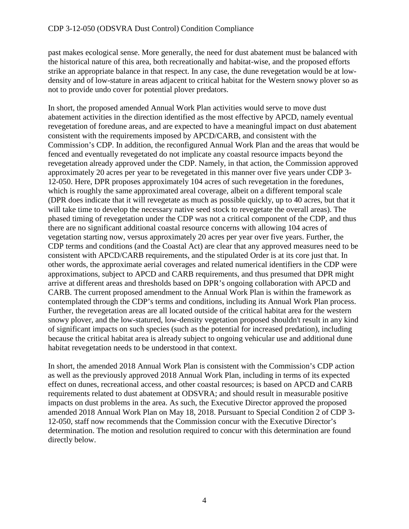past makes ecological sense. More generally, the need for dust abatement must be balanced with the historical nature of this area, both recreationally and habitat-wise, and the proposed efforts strike an appropriate balance in that respect. In any case, the dune revegetation would be at lowdensity and of low-stature in areas adjacent to critical habitat for the Western snowy plover so as not to provide undo cover for potential plover predators.

In short, the proposed amended Annual Work Plan activities would serve to move dust abatement activities in the direction identified as the most effective by APCD, namely eventual revegetation of foredune areas, and are expected to have a meaningful impact on dust abatement consistent with the requirements imposed by APCD/CARB, and consistent with the Commission's CDP. In addition, the reconfigured Annual Work Plan and the areas that would be fenced and eventually revegetated do not implicate any coastal resource impacts beyond the revegetation already approved under the CDP. Namely, in that action, the Commission approved approximately 20 acres per year to be revegetated in this manner over five years under CDP 3- 12-050. Here, DPR proposes approximately 104 acres of such revegetation in the foredunes, which is roughly the same approximated areal coverage, albeit on a different temporal scale (DPR does indicate that it will revegetate as much as possible quickly, up to 40 acres, but that it will take time to develop the necessary native seed stock to revegetate the overall areas). The phased timing of revegetation under the CDP was not a critical component of the CDP, and thus there are no significant additional coastal resource concerns with allowing 104 acres of vegetation starting now, versus approximately 20 acres per year over five years. Further, the CDP terms and conditions (and the Coastal Act) are clear that any approved measures need to be consistent with APCD/CARB requirements, and the stipulated Order is at its core just that. In other words, the approximate aerial coverages and related numerical identifiers in the CDP were approximations, subject to APCD and CARB requirements, and thus presumed that DPR might arrive at different areas and thresholds based on DPR's ongoing collaboration with APCD and CARB. The current proposed amendment to the Annual Work Plan is within the framework as contemplated through the CDP's terms and conditions, including its Annual Work Plan process. Further, the revegetation areas are all located outside of the critical habitat area for the western snowy plover, and the low-statured, low-density vegetation proposed shouldn't result in any kind of significant impacts on such species (such as the potential for increased predation), including because the critical habitat area is already subject to ongoing vehicular use and additional dune habitat revegetation needs to be understood in that context.

In short, the amended 2018 Annual Work Plan is consistent with the Commission's CDP action as well as the previously approved 2018 Annual Work Plan, including in terms of its expected effect on dunes, recreational access, and other coastal resources; is based on APCD and CARB requirements related to dust abatement at ODSVRA; and should result in measurable positive impacts on dust problems in the area. As such, the Executive Director approved the proposed amended 2018 Annual Work Plan on May 18, 2018. Pursuant to Special Condition 2 of CDP 3- 12-050, staff now recommends that the Commission concur with the Executive Director's determination. The motion and resolution required to concur with this determination are found directly below.